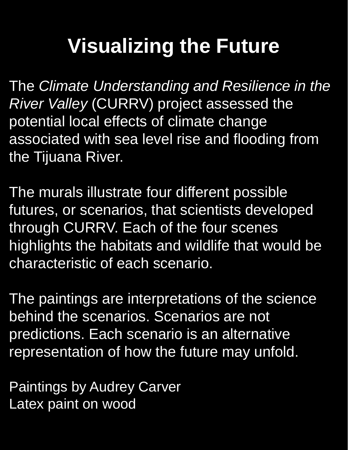# **Visualizing the Future**

The *Climate Understanding and Resilience in the River Valley* (CURRV) project assessed the potential local effects of climate change associated with sea level rise and flooding from the Tijuana River.

The murals illustrate four different possible futures, or scenarios, that scientists developed through CURRV. Each of the four scenes highlights the habitats and wildlife that would be characteristic of each scenario.

The paintings are interpretations of the science behind the scenarios. Scenarios are not predictions. Each scenario is an alternative representation of how the future may unfold.

Paintings by Audrey Carver Latex paint on wood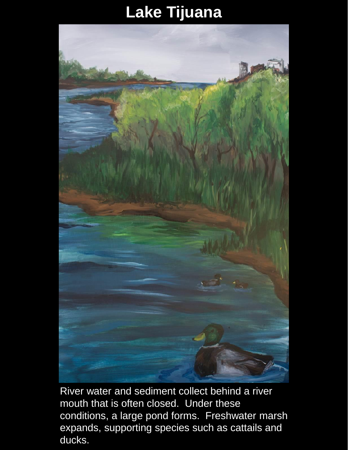### **Lake Tijuana**



River water and sediment collect behind a river mouth that is often closed. Under these conditions, a large pond forms. Freshwater marsh expands, supporting species such as cattails and ducks.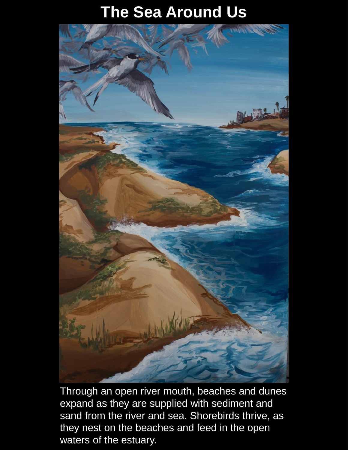## **The Sea Around Us**



Through an open river mouth, beaches and dunes expand as they are supplied with sediment and sand from the river and sea. Shorebirds thrive, as they nest on the beaches and feed in the open waters of the estuary.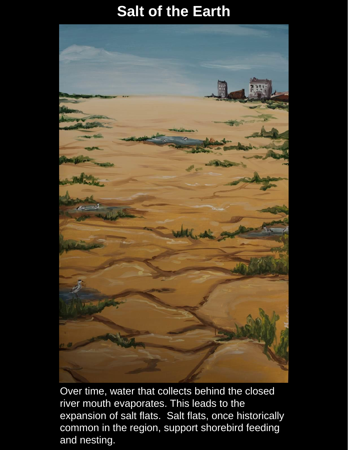#### **Salt of the Earth**



Over time, water that collects behind the closed river mouth evaporates. This leads to the expansion of salt flats. Salt flats, once historically common in the region, support shorebird feeding and nesting.